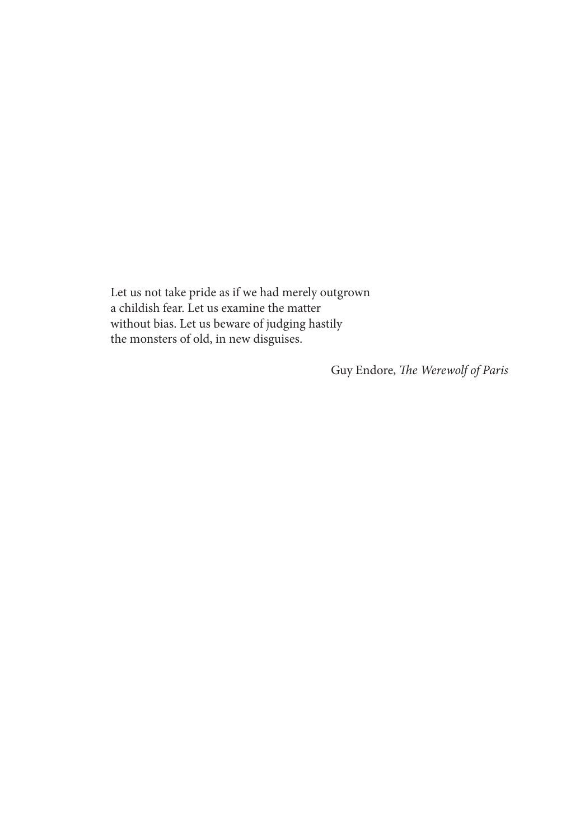Let us not take pride as if we had merely outgrown a childish fear. Let us examine the matter without bias. Let us beware of judging hastily the monsters of old, in new disguises.

Guy Endore, *The Werewolf of Paris*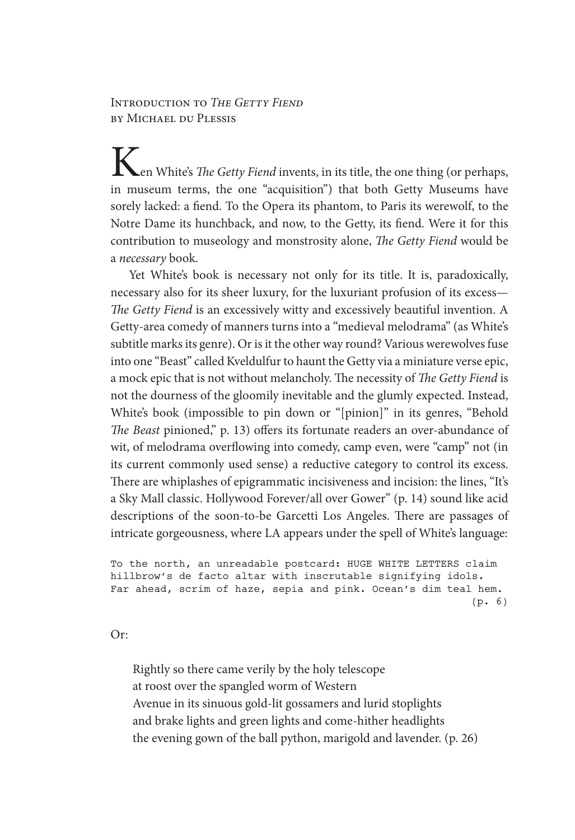## Introduction to *The Getty Fiend* by Michael du Plessis

en White's *The Getty Fiend* invents, in its title, the one thing (or perhaps, in museum terms, the one "acquisition") that both Getty Museums have sorely lacked: a fiend. To the Opera its phantom, to Paris its werewolf, to the Notre Dame its hunchback, and now, to the Getty, its fiend. Were it for this contribution to museology and monstrosity alone, *The Getty Fiend* would be a *necessary* book.

Yet White's book is necessary not only for its title. It is, paradoxically, necessary also for its sheer luxury, for the luxuriant profusion of its excess— *The Getty Fiend* is an excessively witty and excessively beautiful invention. A Getty-area comedy of manners turns into a "medieval melodrama" (as White's subtitle marks its genre). Or is it the other way round? Various werewolves fuse into one "Beast" called Kveldulfur to haunt the Getty via a miniature verse epic, a mock epic that is not without melancholy. The necessity of *The Getty Fiend* is not the dourness of the gloomily inevitable and the glumly expected. Instead, White's book (impossible to pin down or "[pinion]" in its genres, "Behold *The Beast* pinioned," p. 13) offers its fortunate readers an over-abundance of wit, of melodrama overflowing into comedy, camp even, were "camp" not (in its current commonly used sense) a reductive category to control its excess. There are whiplashes of epigrammatic incisiveness and incision: the lines, "It's a Sky Mall classic. Hollywood Forever/all over Gower" (p. 14) sound like acid descriptions of the soon-to-be Garcetti Los Angeles. There are passages of intricate gorgeousness, where LA appears under the spell of White's language:

```
To the north, an unreadable postcard: HUGE WHITE LETTERS claim 
hillbrow's de facto altar with inscrutable signifying idols. 
Far ahead, scrim of haze, sepia and pink. Ocean's dim teal hem. 
                                                           (p. 6)
```
Or:

Rightly so there came verily by the holy telescope at roost over the spangled worm of Western Avenue in its sinuous gold-lit gossamers and lurid stoplights and brake lights and green lights and come-hither headlights the evening gown of the ball python, marigold and lavender. (p. 26)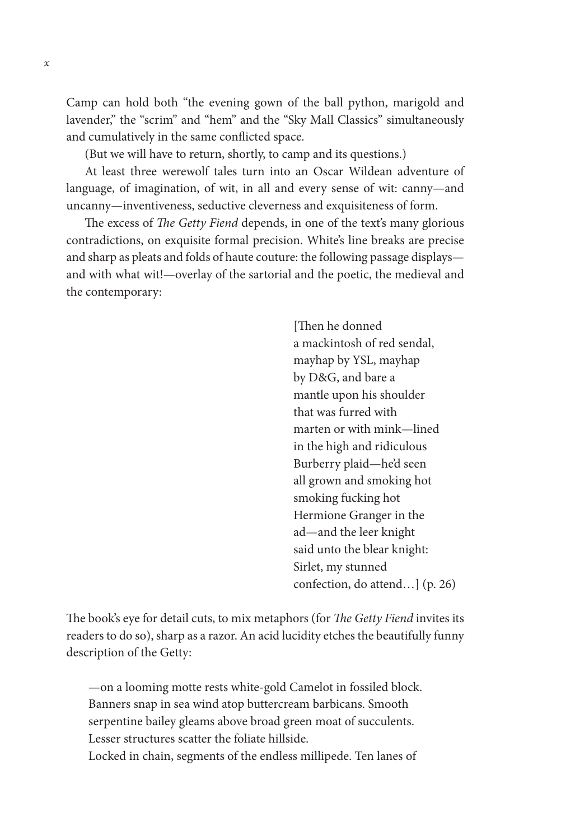Camp can hold both "the evening gown of the ball python, marigold and lavender," the "scrim" and "hem" and the "Sky Mall Classics" simultaneously and cumulatively in the same conflicted space.

(But we will have to return, shortly, to camp and its questions.)

At least three werewolf tales turn into an Oscar Wildean adventure of language, of imagination, of wit, in all and every sense of wit: canny—and uncanny—inventiveness, seductive cleverness and exquisiteness of form.

The excess of *The Getty Fiend* depends, in one of the text's many glorious contradictions, on exquisite formal precision. White's line breaks are precise and sharp as pleats and folds of haute couture: the following passage displays and with what wit!—overlay of the sartorial and the poetic, the medieval and the contemporary:

> [Then he donned a mackintosh of red sendal, mayhap by YSL, mayhap by D&G, and bare a mantle upon his shoulder that was furred with marten or with mink—lined in the high and ridiculous Burberry plaid—he'd seen all grown and smoking hot smoking fucking hot Hermione Granger in the ad—and the leer knight said unto the blear knight: Sirlet, my stunned confection, do attend…] (p. 26)

The book's eye for detail cuts, to mix metaphors (for *The Getty Fiend* invites its readers to do so), sharp as a razor. An acid lucidity etches the beautifully funny description of the Getty:

—on a looming motte rests white-gold Camelot in fossiled block. Banners snap in sea wind atop buttercream barbicans. Smooth serpentine bailey gleams above broad green moat of succulents. Lesser structures scatter the foliate hillside. Locked in chain, segments of the endless millipede. Ten lanes of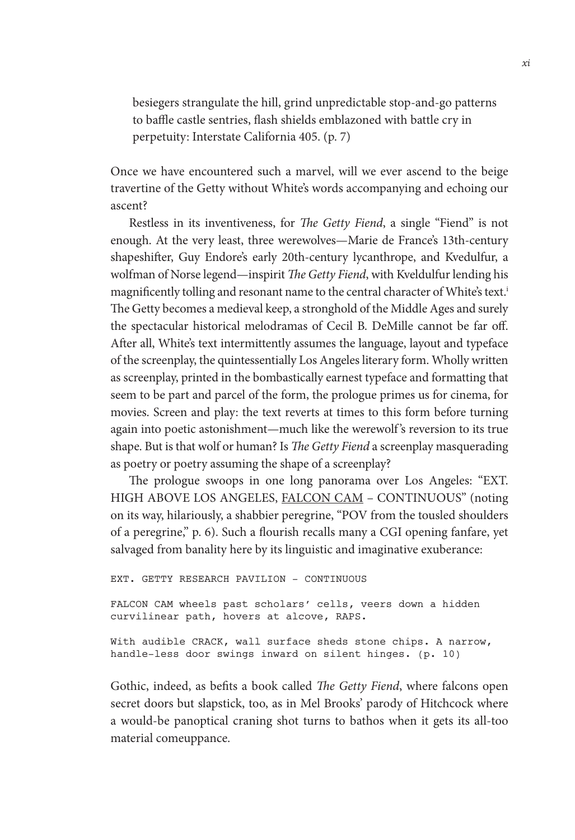besiegers strangulate the hill, grind unpredictable stop-and-go patterns to baffle castle sentries, flash shields emblazoned with battle cry in perpetuity: Interstate California 405. (p. 7)

Once we have encountered such a marvel, will we ever ascend to the beige travertine of the Getty without White's words accompanying and echoing our ascent?

Restless in its inventiveness, for *The Getty Fiend*, a single "Fiend" is not enough. At the very least, three werewolves—Marie de France's 13th-century shapeshifter, Guy Endore's early 20th-century lycanthrope, and Kvedulfur, a wolfman of Norse legend—inspirit *The Getty Fiend*, with Kveldulfur lending his magnificently tolling and resonant name to the central character of White's text.<sup>i</sup> The Getty becomes a medieval keep, a stronghold of the Middle Ages and surely the spectacular historical melodramas of Cecil B. DeMille cannot be far off. After all, White's text intermittently assumes the language, layout and typeface of the screenplay, the quintessentially Los Angeles literary form. Wholly written as screenplay, printed in the bombastically earnest typeface and formatting that seem to be part and parcel of the form, the prologue primes us for cinema, for movies. Screen and play: the text reverts at times to this form before turning again into poetic astonishment—much like the werewolf 's reversion to its true shape. But is that wolf or human? Is *The Getty Fiend* a screenplay masquerading as poetry or poetry assuming the shape of a screenplay?

The prologue swoops in one long panorama over Los Angeles: "EXT. HIGH ABOVE LOS ANGELES, FALCON CAM – CONTINUOUS" (noting on its way, hilariously, a shabbier peregrine, "POV from the tousled shoulders of a peregrine," p. 6). Such a flourish recalls many a CGI opening fanfare, yet salvaged from banality here by its linguistic and imaginative exuberance:

EXT. GETTY RESEARCH PAVILION – CONTINUOUS FALCON CAM wheels past scholars' cells, veers down a hidden curvilinear path, hovers at alcove, RAPS. With audible CRACK, wall surface sheds stone chips. A narrow, handle-less door swings inward on silent hinges. (p. 10)

Gothic, indeed, as befits a book called *The Getty Fiend*, where falcons open secret doors but slapstick, too, as in Mel Brooks' parody of Hitchcock where a would-be panoptical craning shot turns to bathos when it gets its all-too material comeuppance.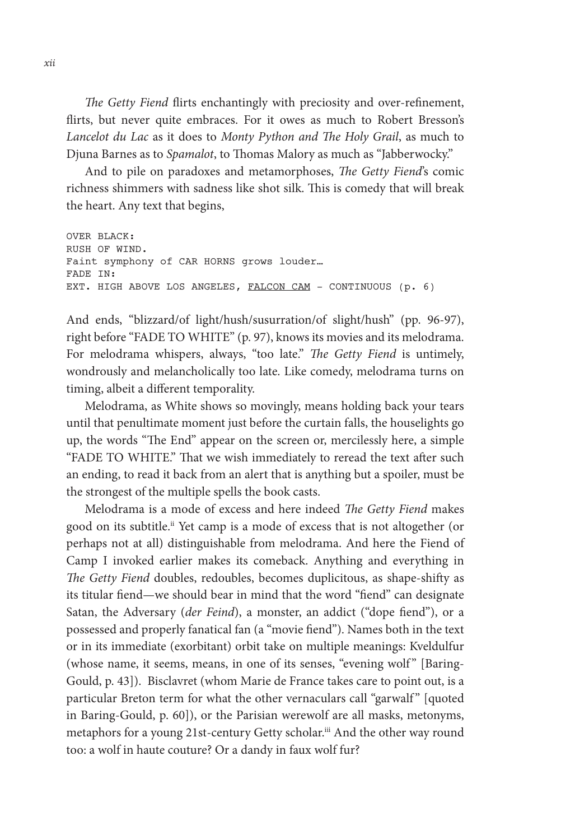*The Getty Fiend* flirts enchantingly with preciosity and over-refinement, flirts, but never quite embraces. For it owes as much to Robert Bresson's *Lancelot du Lac* as it does to *Monty Python and The Holy Grail*, as much to Djuna Barnes as to *Spamalot*, to Thomas Malory as much as "Jabberwocky."

And to pile on paradoxes and metamorphoses, *The Getty Fiend*'s comic richness shimmers with sadness like shot silk. This is comedy that will break the heart. Any text that begins,

```
OVER BLACK:
RUSH OF WIND. 
Faint symphony of CAR HORNS grows louder…
FADE IN:
EXT. HIGH ABOVE LOS ANGELES, FALCON CAM - CONTINUOUS (p. 6)
```
And ends, "blizzard/of light/hush/susurration/of slight/hush" (pp. 96-97), right before "FADE TO WHITE" (p. 97), knows its movies and its melodrama. For melodrama whispers, always, "too late." *The Getty Fiend* is untimely, wondrously and melancholically too late. Like comedy, melodrama turns on timing, albeit a different temporality.

Melodrama, as White shows so movingly, means holding back your tears until that penultimate moment just before the curtain falls, the houselights go up, the words "The End" appear on the screen or, mercilessly here, a simple "FADE TO WHITE." That we wish immediately to reread the text after such an ending, to read it back from an alert that is anything but a spoiler, must be the strongest of the multiple spells the book casts.

Melodrama is a mode of excess and here indeed *The Getty Fiend* makes good on its subtitle.<sup>ii</sup> Yet camp is a mode of excess that is not altogether (or perhaps not at all) distinguishable from melodrama. And here the Fiend of Camp I invoked earlier makes its comeback. Anything and everything in *The Getty Fiend* doubles, redoubles, becomes duplicitous, as shape-shifty as its titular fiend—we should bear in mind that the word "fiend" can designate Satan, the Adversary (*der Feind*), a monster, an addict ("dope fiend"), or a possessed and properly fanatical fan (a "movie fiend"). Names both in the text or in its immediate (exorbitant) orbit take on multiple meanings: Kveldulfur (whose name, it seems, means, in one of its senses, "evening wolf" [Baring-Gould, p. 43]). Bisclavret (whom Marie de France takes care to point out, is a particular Breton term for what the other vernaculars call "garwalf" [quoted in Baring-Gould, p. 60]), or the Parisian werewolf are all masks, metonyms, metaphors for a young 21st-century Getty scholar.<sup>iii</sup> And the other way round too: a wolf in haute couture? Or a dandy in faux wolf fur?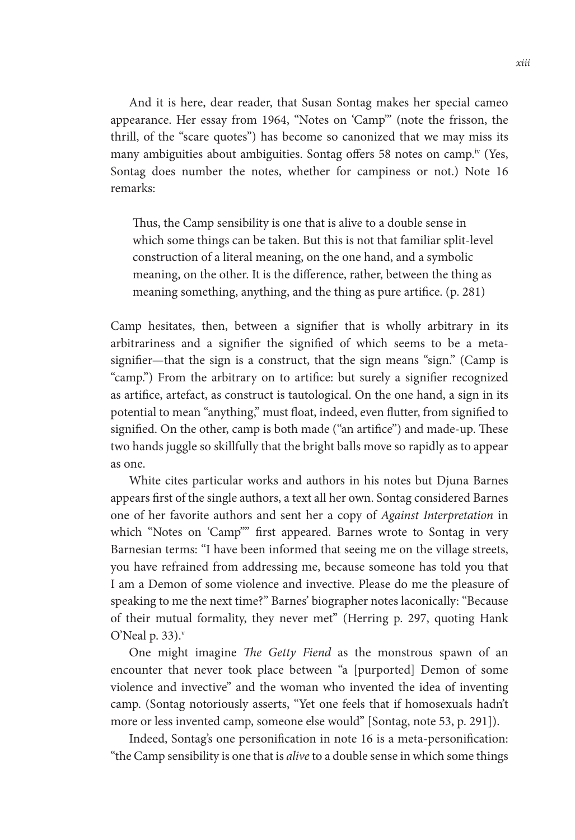And it is here, dear reader, that Susan Sontag makes her special cameo appearance. Her essay from 1964, "Notes on 'Camp'" (note the frisson, the thrill, of the "scare quotes") has become so canonized that we may miss its many ambiguities about ambiguities. Sontag offers 58 notes on camp.<sup>iv</sup> (Yes, Sontag does number the notes, whether for campiness or not.) Note 16 remarks:

Thus, the Camp sensibility is one that is alive to a double sense in which some things can be taken. But this is not that familiar split-level construction of a literal meaning, on the one hand, and a symbolic meaning, on the other. It is the difference, rather, between the thing as meaning something, anything, and the thing as pure artifice. (p. 281)

Camp hesitates, then, between a signifier that is wholly arbitrary in its arbitrariness and a signifier the signified of which seems to be a metasignifier—that the sign is a construct, that the sign means "sign." (Camp is "camp.") From the arbitrary on to artifice: but surely a signifier recognized as artifice, artefact, as construct is tautological. On the one hand, a sign in its potential to mean "anything," must float, indeed, even flutter, from signified to signified. On the other, camp is both made ("an artifice") and made-up. These two hands juggle so skillfully that the bright balls move so rapidly as to appear as one.

White cites particular works and authors in his notes but Djuna Barnes appears first of the single authors, a text all her own. Sontag considered Barnes one of her favorite authors and sent her a copy of *Against Interpretation* in which "Notes on 'Camp"" first appeared. Barnes wrote to Sontag in very Barnesian terms: "I have been informed that seeing me on the village streets, you have refrained from addressing me, because someone has told you that I am a Demon of some violence and invective. Please do me the pleasure of speaking to me the next time?" Barnes' biographer notes laconically: "Because of their mutual formality, they never met" (Herring p. 297, quoting Hank O'Neal p.  $33$ ).

One might imagine *The Getty Fiend* as the monstrous spawn of an encounter that never took place between "a [purported] Demon of some violence and invective" and the woman who invented the idea of inventing camp. (Sontag notoriously asserts, "Yet one feels that if homosexuals hadn't more or less invented camp, someone else would" [Sontag, note 53, p. 291]).

Indeed, Sontag's one personification in note 16 is a meta-personification: "the Camp sensibility is one that is *alive* to a double sense in which some things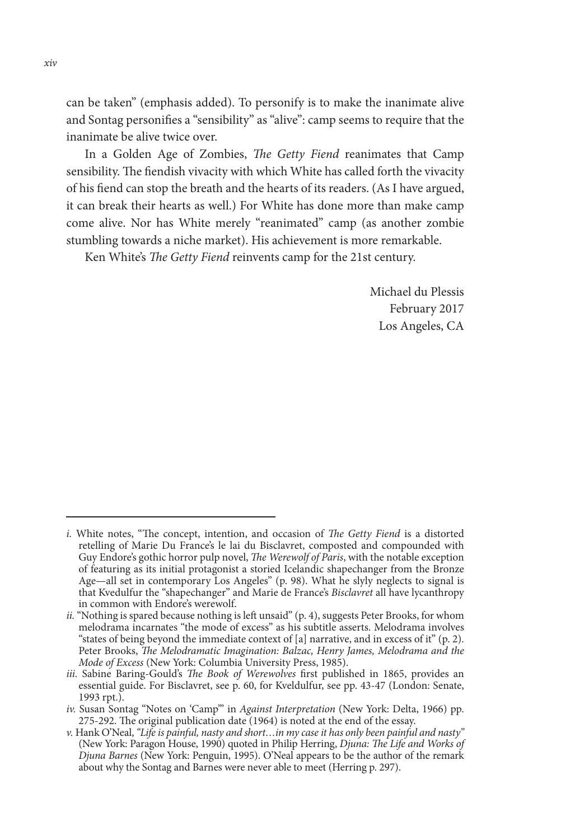can be taken" (emphasis added). To personify is to make the inanimate alive and Sontag personifies a "sensibility" as "alive": camp seems to require that the inanimate be alive twice over.

In a Golden Age of Zombies, *The Getty Fiend* reanimates that Camp sensibility. The fiendish vivacity with which White has called forth the vivacity of his fiend can stop the breath and the hearts of its readers. (As I have argued, it can break their hearts as well.) For White has done more than make camp come alive. Nor has White merely "reanimated" camp (as another zombie stumbling towards a niche market). His achievement is more remarkable.

Ken White's *The Getty Fiend* reinvents camp for the 21st century.

Michael du Plessis February 2017 Los Angeles, CA

*i.* White notes, "The concept, intention, and occasion of *The Getty Fiend* is a distorted retelling of Marie Du France's le lai du Bisclavret, composted and compounded with Guy Endore's gothic horror pulp novel, *The Werewolf of Paris*, with the notable exception of featuring as its initial protagonist a storied Icelandic shapechanger from the Bronze Age—all set in contemporary Los Angeles" (p. 98). What he slyly neglects to signal is that Kvedulfur the "shapechanger" and Marie de France's *Bisclavret* all have lycanthropy in common with Endore's werewolf.

*ii.* "Nothing is spared because nothing is left unsaid" (p. 4), suggests Peter Brooks, for whom melodrama incarnates "the mode of excess" as his subtitle asserts. Melodrama involves "states of being beyond the immediate context of [a] narrative, and in excess of it" (p. 2). Peter Brooks, *The Melodramatic Imagination: Balzac, Henry James, Melodrama and the Mode of Excess* (New York: Columbia University Press, 1985).

*iii.* Sabine Baring-Gould's *The Book of Werewolves* first published in 1865, provides an essential guide. For Bisclavret, see p. 60, for Kveldulfur, see pp. 43-47 (London: Senate, 1993 rpt.).

*iv.* Susan Sontag "Notes on 'Camp'" in *Against Interpretation* (New York: Delta, 1966) pp. 275-292. The original publication date (1964) is noted at the end of the essay.

*v.* Hank O'Neal, *"Life is painful, nasty and short…in my case it has only been painful and nasty"* (New York: Paragon House, 1990) quoted in Philip Herring, *Djuna: The Life and Works of Djuna Barnes* (New York: Penguin, 1995). O'Neal appears to be the author of the remark about why the Sontag and Barnes were never able to meet (Herring p. 297).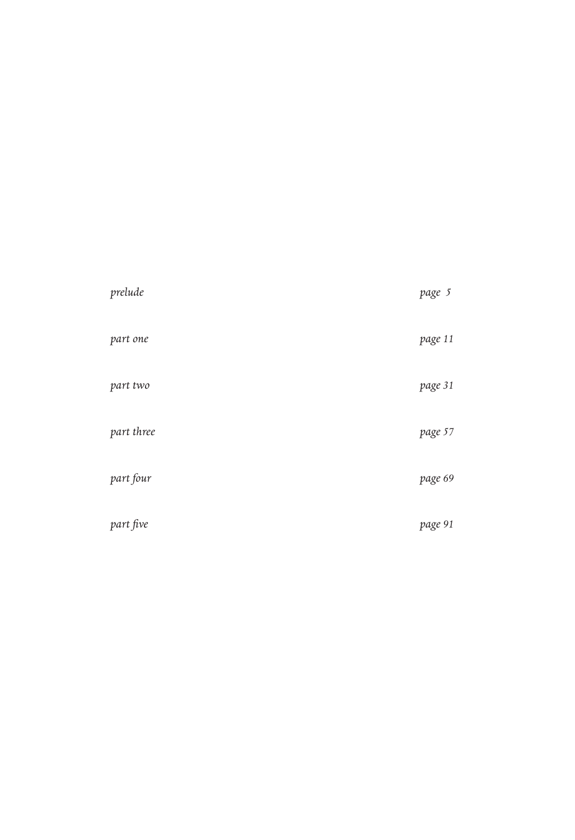| prelude    | page 5  |
|------------|---------|
| part one   | page 11 |
| part two   | page 31 |
| part three | page 57 |
| part four  | page 69 |
| part five  | page 91 |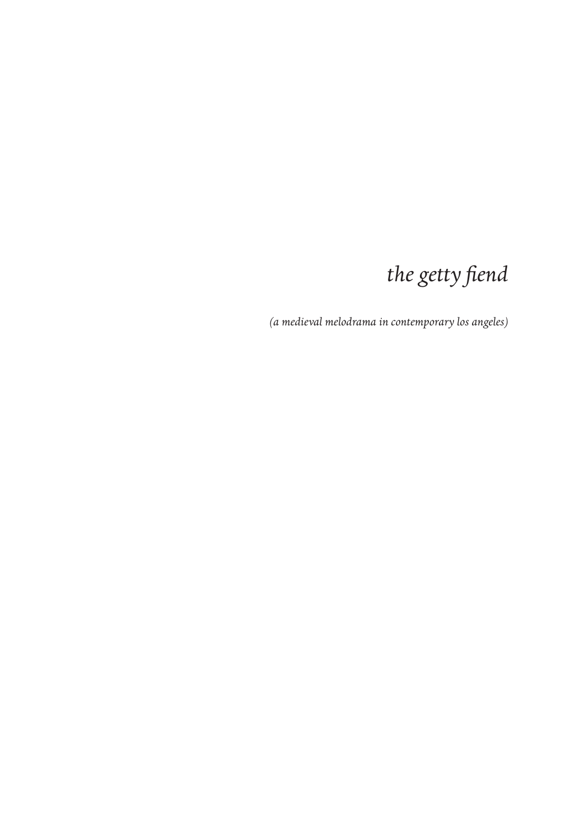## the getty fiend

(a medieval melodrama in contemporary los angeles)